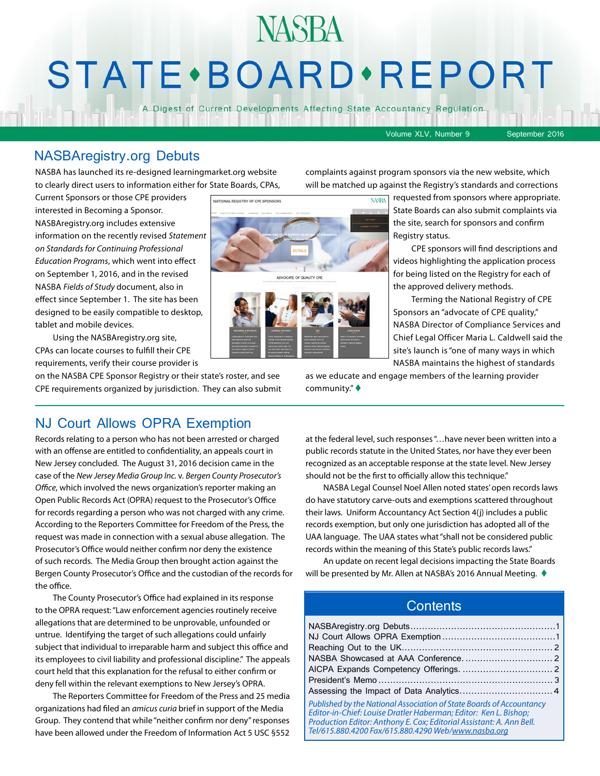## **NASBA STATE** · BOARD · REPORT

A Digest of Current Developments Affecting State Accountancy Regulation

Volume XLV, Number 9 September 2016

#### NASBAregistry.org Debuts

NASBA has launched its re-designed learningmarket.org website to clearly direct users to information either for State Boards, CPAs, complaints against program sponsors via the new website, which will be matched up against the Registry's standards and corrections

Current Sponsors or those CPE providers interested in Becoming a Sponsor. NASBAregistry.org includes extensive information on the recently revised *Statement on Standards for Continuing Professional Education Programs*, which went into effect on September 1, 2016, and in the revised NASBA *Fields of Study* document, also in effect since September 1. The site has been designed to be easily compatible to desktop, tablet and mobile devices.

Using the NASBAregistry.org site, CPAs can locate courses to fulfill their CPE requirements, verify their course provider is

on the NASBA CPE Sponsor Registry or their state's roster, and see CPE requirements organized by jurisdiction. They can also submit

requested from sponsors where appropriate. State Boards can also submit complaints via the site, search for sponsors and confirm Registry status.

CPE sponsors will find descriptions and videos highlighting the application process for being listed on the Registry for each of the approved delivery methods.

Terming the National Registry of CPE Sponsors an "advocate of CPE quality," NASBA Director of Compliance Services and Chief Legal Officer Maria L. Caldwell said the site's launch is "one of many ways in which NASBA maintains the highest of standards

as we educate and engage members of the learning provider community." $\blacklozenge$ 

#### NJ Court Allows OPRA Exemption

Records relating to a person who has not been arrested or charged with an offense are entitled to confidentiality, an appeals court in New Jersey concluded. The August 31, 2016 decision came in the case of the *New Jersey Media Group Inc.* v. *Bergen County Prosecutor's Office*, which involved the news organization's reporter making an Open Public Records Act (OPRA) request to the Prosecutor's Office for records regarding a person who was not charged with any crime. According to the Reporters Committee for Freedom of the Press, the request was made in connection with a sexual abuse allegation. The Prosecutor's Office would neither confirm nor deny the existence of such records. The Media Group then brought action against the Bergen County Prosecutor's Office and the custodian of the records for the office.

The County Prosecutor's Office had explained in its response to the OPRA request: "Law enforcement agencies routinely receive allegations that are determined to be unprovable, unfounded or untrue. Identifying the target of such allegations could unfairly subject that individual to irreparable harm and subject this office and its employees to civil liability and professional discipline." The appeals court held that this explanation for the refusal to either confirm or deny fell within the relevant exemptions to New Jersey's OPRA.

The Reporters Committee for Freedom of the Press and 25 media organizations had filed an *amicus curia* brief in support of the Media Group. They contend that while "neither confirm nor deny" responses have been allowed under the Freedom of Information Act 5 USC §552 at the federal level, such responses "…have never been written into a public records statute in the United States, nor have they ever been recognized as an acceptable response at the state level. New Jersey should not be the first to officially allow this technique."

NASBA Legal Counsel Noel Allen noted states' open records laws do have statutory carve-outs and exemptions scattered throughout their laws. Uniform Accountancy Act Section 4(j) includes a public records exemption, but only one jurisdiction has adopted all of the UAA language. The UAA states what "shall not be considered public records within the meaning of this State's public records laws."

An update on recent legal decisions impacting the State Boards will be presented by Mr. Allen at NASBA's 2016 Annual Meeting.  $\blacklozenge$ 

#### **Contents**

| Published by the National Association of State Boards of Accountancy<br>Editor-in-Chief: Louise Dratler Haberman; Editor: Ken L. Bishop;<br>Production Editor: Anthony E. Cox; Editorial Assistant: A. Ann Bell.<br>Tel/615.880.4200 Fax/615.880.4290 Web/www.nasba.org |  |
|-------------------------------------------------------------------------------------------------------------------------------------------------------------------------------------------------------------------------------------------------------------------------|--|

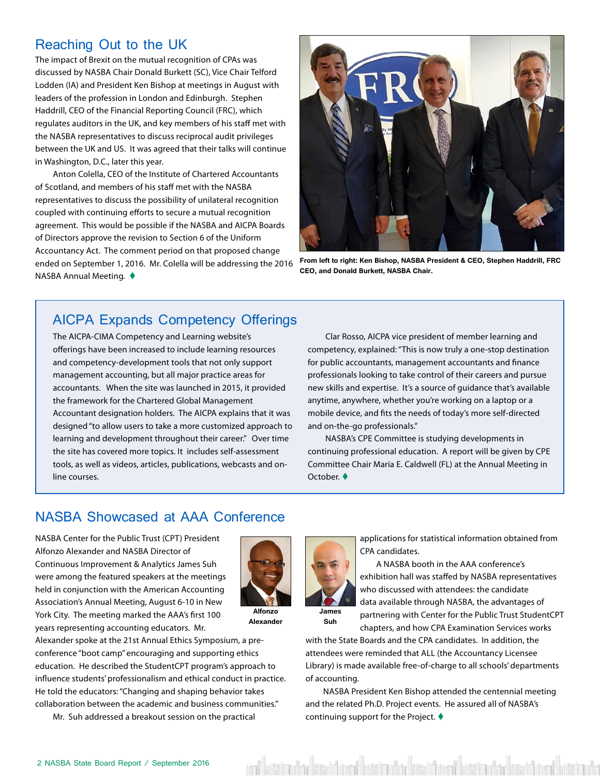#### <span id="page-1-0"></span>Reaching Out to the UK

The impact of Brexit on the mutual recognition of CPAs was discussed by NASBA Chair Donald Burkett (SC), Vice Chair Telford Lodden (IA) and President Ken Bishop at meetings in August with leaders of the profession in London and Edinburgh. Stephen Haddrill, CEO of the Financial Reporting Council (FRC), which regulates auditors in the UK, and key members of his staff met with the NASBA representatives to discuss reciprocal audit privileges between the UK and US. It was agreed that their talks will continue in Washington, D.C., later this year.

Anton Colella, CEO of the Institute of Chartered Accountants of Scotland, and members of his staff met with the NASBA representatives to discuss the possibility of unilateral recognition coupled with continuing efforts to secure a mutual recognition agreement. This would be possible if the NASBA and AICPA Boards of Directors approve the revision to Section 6 of the Uniform Accountancy Act. The comment period on that proposed change ended on September 1, 2016. Mr. Colella will be addressing the 2016 NASBA Annual Meeting.  $\blacklozenge$ 



**From left to right: Ken Bishop, NASBA President & CEO, Stephen Haddrill, FRC CEO, and Donald Burkett, NASBA Chair.**

#### AICPA Expands Competency Offerings

The AICPA-CIMA Competency and Learning website's offerings have been increased to include learning resources and competency-development tools that not only support management accounting, but all major practice areas for accountants. When the site was launched in 2015, it provided the framework for the Chartered Global Management Accountant designation holders. The AICPA explains that it was designed "to allow users to take a more customized approach to learning and development throughout their career." Over time the site has covered more topics. It includes self-assessment tools, as well as videos, articles, publications, webcasts and online courses.

Clar Rosso, AICPA vice president of member learning and competency, explained: "This is now truly a one-stop destination for public accountants, management accountants and finance professionals looking to take control of their careers and pursue new skills and expertise. It's a source of guidance that's available anytime, anywhere, whether you're working on a laptop or a mobile device, and fits the needs of today's more self-directed and on-the-go professionals."

NASBA's CPE Committee is studying developments in continuing professional education. A report will be given by CPE Committee Chair Maria E. Caldwell (FL) at the Annual Meeting in October.

#### NASBA Showcased at AAA Conference

NASBA Center for the Public Trust (CPT) President Alfonzo Alexander and NASBA Director of Continuous Improvement & Analytics James Suh were among the featured speakers at the meetings held in conjunction with the American Accounting Association's Annual Meeting, August 6-10 in New York City. The meeting marked the AAA's first 100 years representing accounting educators. Mr.



**Alexander**

Alexander spoke at the 21st Annual Ethics Symposium, a preconference "boot camp" encouraging and supporting ethics education. He described the StudentCPT program's approach to influence students' professionalism and ethical conduct in practice. He told the educators: "Changing and shaping behavior takes collaboration between the academic and business communities."

Mr. Suh addressed a breakout session on the practical

applications for statistical information obtained from CPA candidates.

A NASBA booth in the AAA conference's exhibition hall was staffed by NASBA representatives who discussed with attendees: the candidate data available through NASBA, the advantages of partnering with Center for the Public Trust StudentCPT

**James Suh**

chapters, and how CPA Examination Services works with the State Boards and the CPA candidates. In addition, the attendees were reminded that ALL (the Accountancy Licensee Library) is made available free-of-charge to all schools' departments of accounting.

NASBA President Ken Bishop attended the centennial meeting and the related Ph.D. Project events. He assured all of NASBA's continuing support for the Project.  $\blacklozenge$ 

veri kött bashkar kött önem bött mukar kött önem bött bashkar kött önem bött bashkar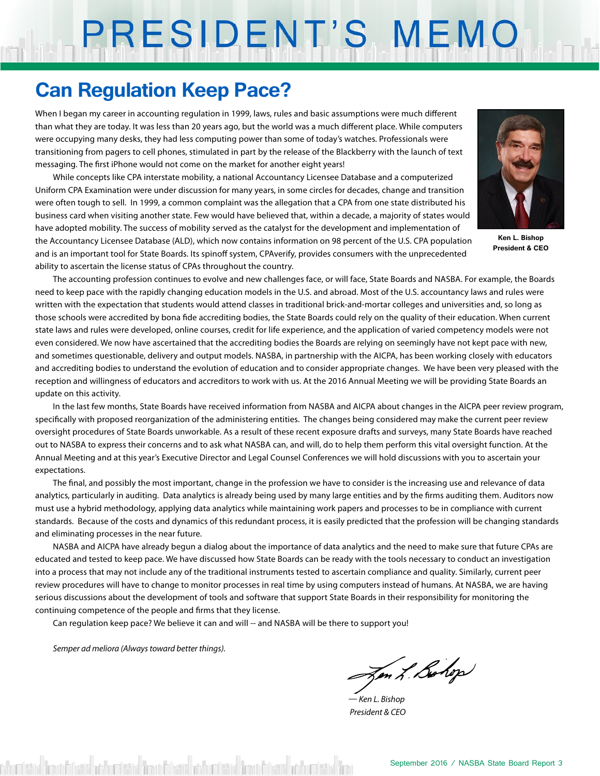# PRESIDENT'S MEMO

#### **Can Regulation Keep Pace?**

When I began my career in accounting regulation in 1999, laws, rules and basic assumptions were much different than what they are today. It was less than 20 years ago, but the world was a much different place. While computers were occupying many desks, they had less computing power than some of today's watches. Professionals were transitioning from pagers to cell phones, stimulated in part by the release of the Blackberry with the launch of text messaging. The first iPhone would not come on the market for another eight years!

While concepts like CPA interstate mobility, a national Accountancy Licensee Database and a computerized Uniform CPA Examination were under discussion for many years, in some circles for decades, change and transition were often tough to sell. In 1999, a common complaint was the allegation that a CPA from one state distributed his business card when visiting another state. Few would have believed that, within a decade, a majority of states would have adopted mobility. The success of mobility served as the catalyst for the development and implementation of the Accountancy Licensee Database (ALD), which now contains information on 98 percent of the U.S. CPA population and is an important tool for State Boards. Its spinoff system, CPAverify, provides consumers with the unprecedented ability to ascertain the license status of CPAs throughout the country.



**Ken L. Bishop President & CEO**

The accounting profession continues to evolve and new challenges face, or will face, State Boards and NASBA. For example, the Boards need to keep pace with the rapidly changing education models in the U.S. and abroad. Most of the U.S. accountancy laws and rules were written with the expectation that students would attend classes in traditional brick-and-mortar colleges and universities and, so long as those schools were accredited by bona fide accrediting bodies, the State Boards could rely on the quality of their education. When current state laws and rules were developed, online courses, credit for life experience, and the application of varied competency models were not even considered. We now have ascertained that the accrediting bodies the Boards are relying on seemingly have not kept pace with new, and sometimes questionable, delivery and output models. NASBA, in partnership with the AICPA, has been working closely with educators and accrediting bodies to understand the evolution of education and to consider appropriate changes. We have been very pleased with the reception and willingness of educators and accreditors to work with us. At the 2016 Annual Meeting we will be providing State Boards an update on this activity.

In the last few months, State Boards have received information from NASBA and AICPA about changes in the AICPA peer review program, specifically with proposed reorganization of the administering entities. The changes being considered may make the current peer review oversight procedures of State Boards unworkable. As a result of these recent exposure drafts and surveys, many State Boards have reached out to NASBA to express their concerns and to ask what NASBA can, and will, do to help them perform this vital oversight function. At the Annual Meeting and at this year's Executive Director and Legal Counsel Conferences we will hold discussions with you to ascertain your expectations.

The final, and possibly the most important, change in the profession we have to consider is the increasing use and relevance of data analytics, particularly in auditing. Data analytics is already being used by many large entities and by the firms auditing them. Auditors now must use a hybrid methodology, applying data analytics while maintaining work papers and processes to be in compliance with current standards. Because of the costs and dynamics of this redundant process, it is easily predicted that the profession will be changing standards and eliminating processes in the near future.

NASBA and AICPA have already begun a dialog about the importance of data analytics and the need to make sure that future CPAs are educated and tested to keep pace. We have discussed how State Boards can be ready with the tools necessary to conduct an investigation into a process that may not include any of the traditional instruments tested to ascertain compliance and quality. Similarly, current peer review procedures will have to change to monitor processes in real time by using computers instead of humans. At NASBA, we are having serious discussions about the development of tools and software that support State Boards in their responsibility for monitoring the continuing competence of the people and firms that they license.

Can regulation keep pace? We believe it can and will -- and NASBA will be there to support you!

*Semper ad meliora (Always toward better things).*

Jon L. Bohop

*— Ken L. Bishop President & CEO*

shumberida dimantikani kashumberida dan di fasisi anda dan bahasi da bandari da da bahasi da da bahasi da da b